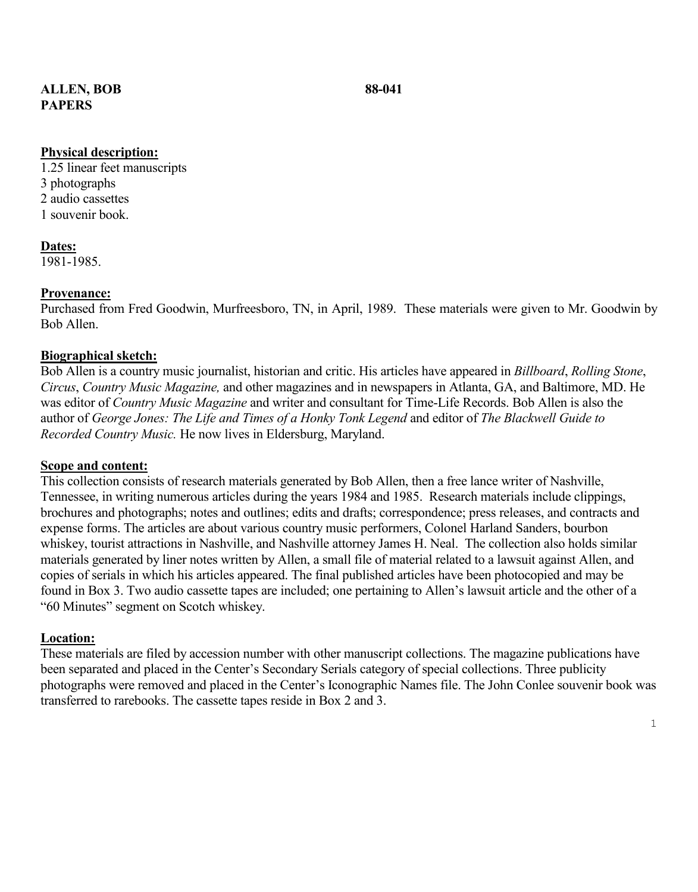# **ALLEN, BOB 88-041 PAPERS**

# **Physical description:**

1.25 linear feet manuscripts 3 photographs 2 audio cassettes 1 souvenir book.

**Dates:** 1981-1985.

# **Provenance:**

Purchased from Fred Goodwin, Murfreesboro, TN, in April, 1989. These materials were given to Mr. Goodwin by Bob Allen.

# **Biographical sketch:**

Bob Allen is a country music journalist, historian and critic. His articles have appeared in *Billboard*, *Rolling Stone*, *Circus*, *Country Music Magazine,* and other magazines and in newspapers in Atlanta, GA, and Baltimore, MD. He was editor of *Country Music Magazine* and writer and consultant for Time-Life Records. Bob Allen is also the author of *George Jones: The Life and Times of a Honky Tonk Legend* and editor of *The Blackwell Guide to Recorded Country Music.* He now lives in Eldersburg, Maryland.

### **Scope and content:**

This collection consists of research materials generated by Bob Allen, then a free lance writer of Nashville, Tennessee, in writing numerous articles during the years 1984 and 1985. Research materials include clippings, brochures and photographs; notes and outlines; edits and drafts; correspondence; press releases, and contracts and expense forms. The articles are about various country music performers, Colonel Harland Sanders, bourbon whiskey, tourist attractions in Nashville, and Nashville attorney James H. Neal. The collection also holds similar materials generated by liner notes written by Allen, a small file of material related to a lawsuit against Allen, and copies of serials in which his articles appeared. The final published articles have been photocopied and may be found in Box 3. Two audio cassette tapes are included; one pertaining to Allen's lawsuit article and the other of a "60 Minutes" segment on Scotch whiskey.

### **Location:**

These materials are filed by accession number with other manuscript collections. The magazine publications have been separated and placed in the Center's Secondary Serials category of special collections. Three publicity photographs were removed and placed in the Center's Iconographic Names file. The John Conlee souvenir book was transferred to rarebooks. The cassette tapes reside in Box 2 and 3.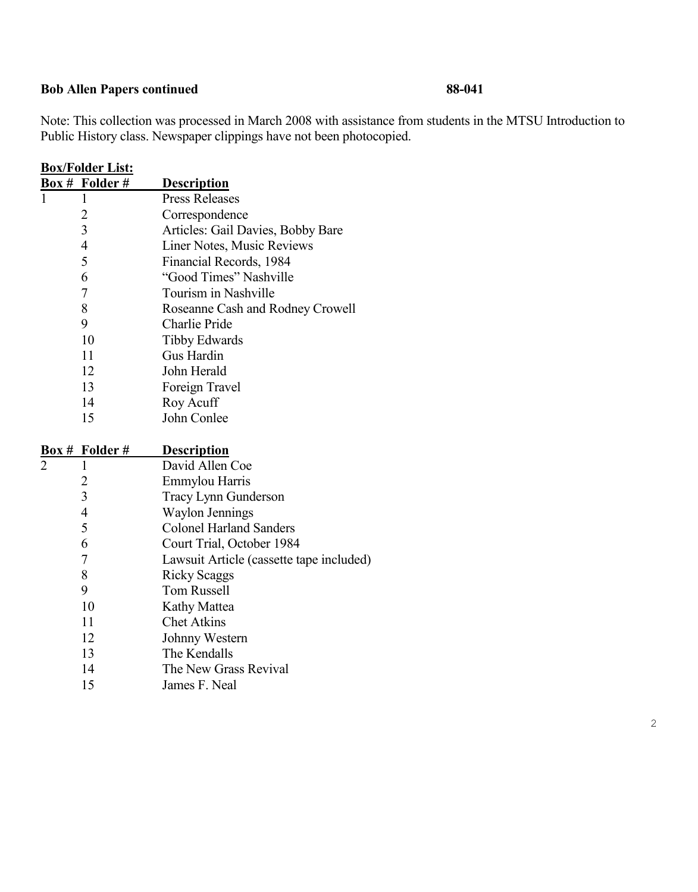# **Bob Allen Papers continued 88-041**

Note: This collection was processed in March 2008 with assistance from students in the MTSU Introduction to Public History class. Newspaper clippings have not been photocopied.

| <b>Box/Folder List:</b> |                       |                                          |
|-------------------------|-----------------------|------------------------------------------|
|                         | <b>Box # Folder #</b> | <u>Description</u>                       |
|                         | 1                     | <b>Press Releases</b>                    |
|                         | $\overline{2}$        | Correspondence                           |
|                         | 3                     | Articles: Gail Davies, Bobby Bare        |
|                         | $\overline{4}$        | Liner Notes, Music Reviews               |
|                         | 5                     | Financial Records, 1984                  |
|                         | 6                     | "Good Times" Nashville                   |
|                         | 7                     | Tourism in Nashville                     |
|                         | 8                     | Roseanne Cash and Rodney Crowell         |
|                         | 9                     | Charlie Pride                            |
|                         | 10                    | <b>Tibby Edwards</b>                     |
|                         | 11                    | Gus Hardin                               |
|                         | 12                    | John Herald                              |
|                         | 13                    | Foreign Travel                           |
|                         | 14                    | Roy Acuff                                |
|                         | 15                    | John Conlee                              |
|                         |                       |                                          |
|                         |                       |                                          |
| Box #                   | Folder#               | <b>Description</b>                       |
|                         | 1                     | David Allen Coe                          |
|                         | $\overline{c}$        | Emmylou Harris                           |
|                         | $\overline{3}$        | Tracy Lynn Gunderson                     |
|                         | $\overline{4}$        | <b>Waylon Jennings</b>                   |
|                         | 5                     | <b>Colonel Harland Sanders</b>           |
|                         | 6                     | Court Trial, October 1984                |
|                         | $\overline{7}$        | Lawsuit Article (cassette tape included) |
|                         | 8                     | <b>Ricky Scaggs</b>                      |
|                         | 9                     | <b>Tom Russell</b>                       |
|                         | 10                    | Kathy Mattea                             |
|                         | 11                    | <b>Chet Atkins</b>                       |
|                         | 12                    | Johnny Western                           |
|                         | 13                    | The Kendalls                             |
|                         | 14                    | The New Grass Revival                    |